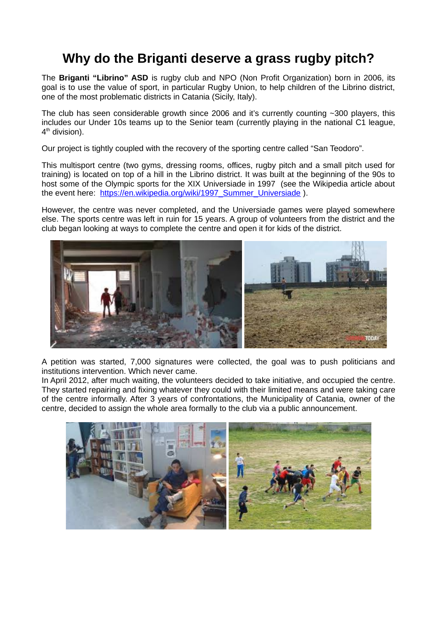# **Why do the Briganti deserve a grass rugby pitch?**

The **Briganti "Librino" ASD** is rugby club and NPO (Non Profit Organization) born in 2006, its goal is to use the value of sport, in particular Rugby Union, to help children of the Librino district, one of the most problematic districts in Catania (Sicily, Italy).

The club has seen considerable growth since 2006 and it's currently counting  $\sim$ 300 players, this includes our Under 10s teams up to the Senior team (currently playing in the national C1 league, 4<sup>th</sup> division).

Our project is tightly coupled with the recovery of the sporting centre called "San Teodoro".

This multisport centre (two gyms, dressing rooms, offices, rugby pitch and a small pitch used for training) is located on top of a hill in the Librino district. It was built at the beginning of the 90s to host some of the Olympic sports for the XIX Universiade in 1997 (see the Wikipedia article about the event here: [https://en.wikipedia.org/wiki/1997\\_Summer\\_Universiade](https://en.wikipedia.org/wiki/1997_Summer_Universiade) ).

However, the centre was never completed, and the Universiade games were played somewhere else. The sports centre was left in ruin for 15 years. A group of volunteers from the district and the club began looking at ways to complete the centre and open it for kids of the district.



A petition was started, 7,000 signatures were collected, the goal was to push politicians and institutions intervention. Which never came.

In April 2012, after much waiting, the volunteers decided to take initiative, and occupied the centre. They started repairing and fixing whatever they could with their limited means and were taking care of the centre informally. After 3 years of confrontations, the Municipality of Catania, owner of the centre, decided to assign the whole area formally to the club via a public announcement.

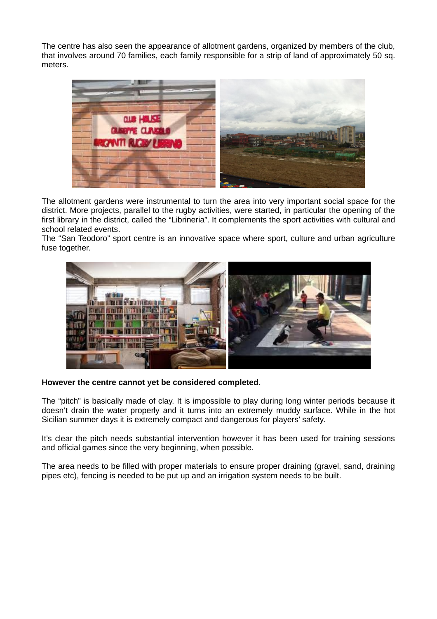The centre has also seen the appearance of allotment gardens, organized by members of the club, that involves around 70 families, each family responsible for a strip of land of approximately 50 sq. meters.



The allotment gardens were instrumental to turn the area into very important social space for the district. More projects, parallel to the rugby activities, were started, in particular the opening of the first library in the district, called the "Librineria". It complements the sport activities with cultural and school related events.

The "San Teodoro" sport centre is an innovative space where sport, culture and urban agriculture fuse together.



### **However the centre cannot yet be considered completed.**

The "pitch" is basically made of clay. It is impossible to play during long winter periods because it doesn't drain the water properly and it turns into an extremely muddy surface. While in the hot Sicilian summer days it is extremely compact and dangerous for players' safety.

It's clear the pitch needs substantial intervention however it has been used for training sessions and official games since the very beginning, when possible.

The area needs to be filled with proper materials to ensure proper draining (gravel, sand, draining pipes etc), fencing is needed to be put up and an irrigation system needs to be built.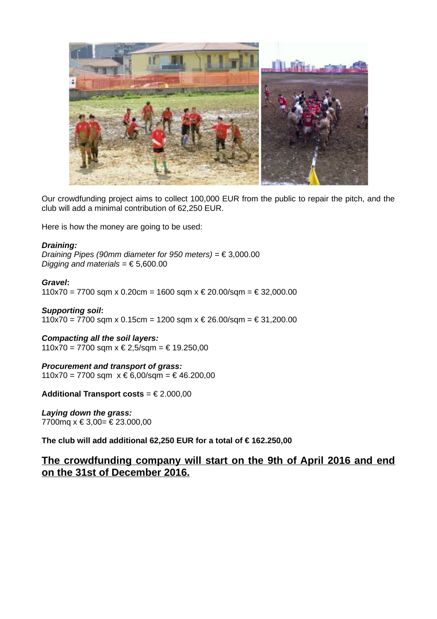

Our crowdfunding project aims to collect 100,000 EUR from the public to repair the pitch, and the club will add a minimal contribution of 62,250 EUR.

Here is how the money are going to be used:

#### *Draining:*

*Draining Pipes (90mm diameter for 950 meters) =* € 3,000.00 *Digging and materials =* € 5,600.00

*Gravel***:** 110x70 = 7700 sqm x 0.20cm = 1600 sqm x € 20.00/sqm = € 32,000.00

*Supporting soil***:** 110x70 = 7700 sqm x 0.15cm = 1200 sqm x € 26.00/sqm = € 31,200.00

*Compacting all the soil layers:* 110x70 = 7700 sqm x € 2,5/sqm = € 19.250,00

*Procurement and transport of grass:* 110x70 = 7700 sqm  $x \notin 6.00$ /sqm = € 46.200.00

**Additional Transport costs** = € 2.000,00

*Laying down the grass:* 7700mq x € 3,00= € 23.000,00

**The club will add additional 62,250 EUR for a total of € 162.250,00** 

## **The crowdfunding company will start on the 9th of April 2016 and end on the 31st of December 2016.**